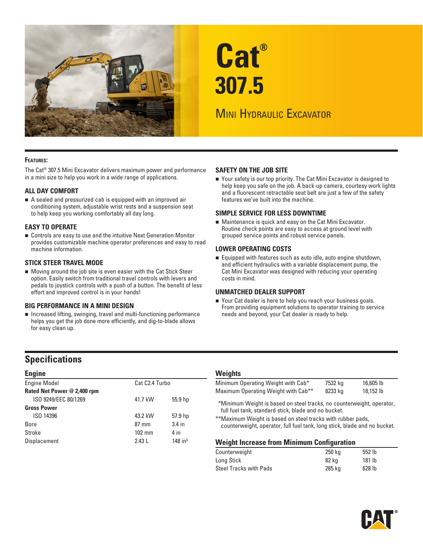

# **Cat® 307.5**

# **MINI HYDRAULIC EXCAVATOR**

#### **Features:**

The Cat® 307.5 Mini Excavator delivers maximum power and performance in a mini size to help you work in a wide range of applications.

#### **ALL DAY COMFORT**

 A sealed and pressurized cab is equipped with an improved air conditioning system, adjustable wrist rests and a suspension seat to help keep you working comfortably all day long.

#### **EASY TO OPERATE**

 Controls are easy to use and the intuitive Next Generation Monitor provides customizable machine operator preferences and easy to read machine information.

#### **STICK STEER TRAVEL MODE**

 Moving around the job site is even easier with the Cat Stick Steer option. Easily switch from traditional travel controls with levers and pedals to joystick controls with a push of a button. The benefit of less effort and improved control is in your hands!

#### **BIG PERFORMANCE IN A MINI DESIGN**

 Increased lifting, swinging, travel and multi-functioning performance helps you get the job done more efficiently, and dig-to-blade allows for easy clean up.

#### **SAFETY ON THE JOB SITE**

■ Your safety is our top priority. The Cat Mini Excavator is designed to help keep you safe on the job. A back-up camera, courtesy work lights and a fluorescent retractable seat belt are just a few of the safety features we've built into the machine.

#### **SIMPLE SERVICE FOR LESS DOWNTIME**

 Maintenance is quick and easy on the Cat Mini Excavator. Routine check points are easy to access at ground level with grouped service points and robust service panels.

#### **LOWER OPERATING COSTS**

 Equipped with features such as auto idle, auto engine shutdown, and efficient hydraulics with a variable displacement pump, the Cat Mini Excavator was designed with reducing your operating costs in mind.

#### **UNMATCHED DEALER SUPPORT**

■ Your Cat dealer is here to help you reach your business goals. From providing equipment solutions to operator training to service needs and beyond, your Cat dealer is ready to help.

# **Specifications**

| <b>Engine</b>               |                  |                       |  |
|-----------------------------|------------------|-----------------------|--|
| <b>Engine Model</b>         | Cat C2.4 Turbo   |                       |  |
| Rated Net Power @ 2,400 rpm |                  |                       |  |
| ISO 9249/EEC 80/1269        | 41.7 kW          | 55.9 hp               |  |
| <b>Gross Power</b>          |                  |                       |  |
| ISO 14396                   | 43.2 kW          | 57.9 hp               |  |
| <b>Bore</b>                 | $87 \text{ mm}$  | $3.4$ in              |  |
| Stroke                      | $102 \text{ mm}$ | 4 in                  |  |
| Displacement                | 2.43L            | $148$ in <sup>3</sup> |  |

#### **Weights**

| Minimum Operating Weight with Cab*              | 7532 kg | 16,605 lb |
|-------------------------------------------------|---------|-----------|
| Maximum Operating Weight with Cab <sup>**</sup> | 8233 kg | 18,152 lb |

\*\*Minimum Weight is based on steel tracks, no counterweight, operator, full fuel tank, standard stick, blade and no bucket.

\*\*Maximum Weight is based on steel tracks with rubber pads, counterweight, operator, full fuel tank, long stick, blade and no bucket.

#### **Weight Increase from Minimum Configuration**

| Counterweight          | 250 ka | 552 lb |  |
|------------------------|--------|--------|--|
| Long Stick             | 82 kg  | 181 lb |  |
| Steel Tracks with Pads | 285 kg | 628 lb |  |

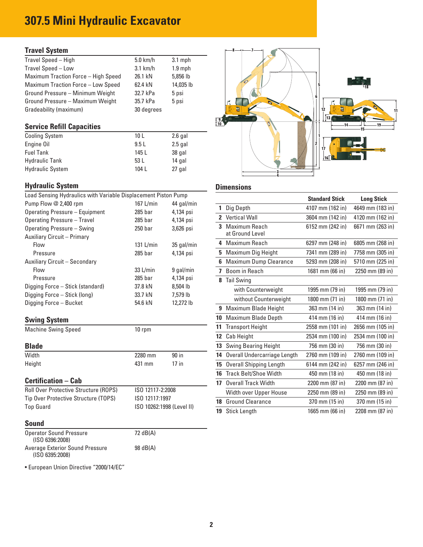# **307.5 Mini Hydraulic Excavator**

## **Travel System**

| Travel Speed - High                        | $5.0$ km/h | $3.1$ mph |
|--------------------------------------------|------------|-----------|
| Travel Speed - Low                         | $3.1$ km/h | $1.9$ mph |
| <b>Maximum Traction Force - High Speed</b> | 26.1 kN    | 5,856 lb  |
| Maximum Traction Force - Low Speed         | 62.4 kN    | 14,035 lb |
| Ground Pressure - Minimum Weight           | 32.7 kPa   | 5 psi     |
| Ground Pressure - Maximum Weight           | 35.7 kPa   | 5 psi     |
| Gradeability (maximum)                     | 30 degrees |           |
|                                            |            |           |

# **Service Refill Capacities**

| <b>Cooling System</b>   | 10 <sub>L</sub> | $2.6$ gal |
|-------------------------|-----------------|-----------|
| Engine Oil              | 9.5L            | $2.5$ gal |
| <b>Fuel Tank</b>        | 145 L           | 38 gal    |
| <b>Hydraulic Tank</b>   | 53 L            | 14 gal    |
| <b>Hydraulic System</b> | 104 L           | 27 gal    |

# **Hydraulic System**

| Load Sensing Hydraulics with Variable Displacement Piston Pump |            |            |  |  |  |  |  |  |
|----------------------------------------------------------------|------------|------------|--|--|--|--|--|--|
| Pump Flow @ 2,400 rpm                                          | 167 L/min  | 44 gal/min |  |  |  |  |  |  |
| Operating Pressure - Equipment                                 | $285$ bar  | 4,134 psi  |  |  |  |  |  |  |
| Operating Pressure - Travel                                    | $285$ bar  | 4,134 psi  |  |  |  |  |  |  |
| Operating Pressure - Swing                                     | $250$ bar  | 3,626 psi  |  |  |  |  |  |  |
| Auxiliary Circuit - Primary                                    |            |            |  |  |  |  |  |  |
| Flow                                                           | 131 L/min  | 35 gal/min |  |  |  |  |  |  |
| Pressure                                                       | $285$ bar  | 4,134 psi  |  |  |  |  |  |  |
| Auxiliary Circuit - Secondary                                  |            |            |  |  |  |  |  |  |
| Flow                                                           | $33$ L/min | 9 gal/min  |  |  |  |  |  |  |
| Pressure                                                       | $285$ bar  | 4,134 psi  |  |  |  |  |  |  |
| Digging Force - Stick (standard)                               | 37.8 kN    | 8.504 lb   |  |  |  |  |  |  |
| Digging Force - Stick (long)                                   | 33.7 kN    | 7.579 lb   |  |  |  |  |  |  |
| Digging Force - Bucket                                         | 54.6 kN    | 12.272 lb  |  |  |  |  |  |  |
|                                                                |            |            |  |  |  |  |  |  |

# **Swing System**

| <b>Machine Swing Speed</b> | 10 rpm |
|----------------------------|--------|
|----------------------------|--------|

## **Blade**

| Width  | 2280 mm | 90 in   |
|--------|---------|---------|
| Height | 431 mm  | $17$ in |
|        |         |         |

# **Certification – Cab**

| <b>Roll Over Protective Structure (ROPS)</b> | ISO 12117-2:2008          |
|----------------------------------------------|---------------------------|
| Tip Over Protective Structure (TOPS)         | ISO 12117:1997            |
| <b>Top Guard</b>                             | ISO 10262:1998 (Level II) |

#### **Sound**

| <b>Operator Sound Pressure</b><br>(ISO 6396:2008)  | 72 dB(A) |
|----------------------------------------------------|----------|
| Average Exterior Sound Pressure<br>(ISO 6395:2008) | 98 dB(A) |

• European Union Directive "2000/14/EC"



# **Dimensions**

|                |                                  | <b>Standard Stick</b> | <b>Long Stick</b> |
|----------------|----------------------------------|-----------------------|-------------------|
| 1              | Dig Depth                        | 4107 mm (162 in)      | 4649 mm (183 in)  |
| $\overline{2}$ | <b>Vertical Wall</b>             | 3604 mm (142 in)      | 4120 mm (162 in)  |
| 3              | Maximum Reach<br>at Ground Level | 6152 mm (242 in)      | 6671 mm (263 in)  |
| 4              | Maximum Reach                    | 6297 mm (248 in)      | 6805 mm (268 in)  |
| 5              | Maximum Dig Height               | 7341 mm (289 in)      | 7758 mm (305 in)  |
| 6              | Maximum Dump Clearance           | 5293 mm (208 in)      | 5710 mm (225 in)  |
| 7              | Boom in Reach                    | 1681 mm (66 in)       | 2250 mm (89 in)   |
| 8              | <b>Tail Swing</b>                |                       |                   |
|                | with Counterweight               | 1995 mm (79 in)       | 1995 mm (79 in)   |
|                | without Counterweight            | 1800 mm (71 in)       | 1800 mm (71 in)   |
| 9              | Maximum Blade Height             | 363 mm (14 in)        | 363 mm (14 in)    |
| 10             | Maximum Blade Depth              | 414 mm (16 in)        | 414 mm (16 in)    |
| 11             | <b>Transport Height</b>          | 2558 mm (101 in)      | 2656 mm (105 in)  |
| 12             | Cab Height                       | 2534 mm (100 in)      | 2534 mm (100 in)  |
| 13             | <b>Swing Bearing Height</b>      | 756 mm (30 in)        | 756 mm (30 in)    |
| 14             | Overall Undercarriage Length     | 2760 mm (109 in)      | 2760 mm (109 in)  |
| 15             | <b>Overall Shipping Length</b>   | 6144 mm (242 in)      | 6257 mm (246 in)  |
| 16             | <b>Track Belt/Shoe Width</b>     | 450 mm (18 in)        | 450 mm (18 in)    |
| 17             | <b>Overall Track Width</b>       | 2200 mm (87 in)       | 2200 mm (87 in)   |
|                | Width over Upper House           | 2250 mm (89 in)       | 2250 mm (89 in)   |
| 18             | <b>Ground Clearance</b>          | 370 mm (15 in)        | 370 mm (15 in)    |
| 19             | <b>Stick Length</b>              | 1665 mm (66 in)       | 2208 mm (87 in)   |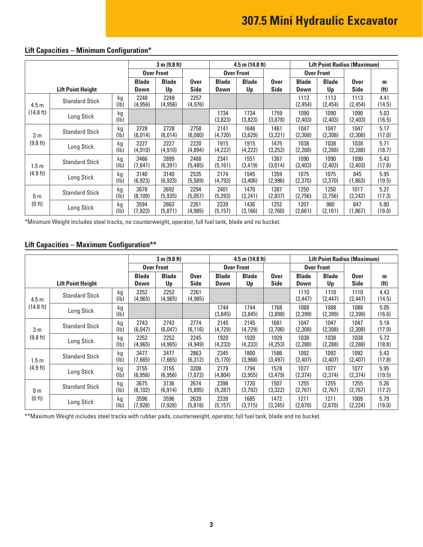# **307.5 Mini Hydraulic Excavator**

|                          |                          |                         | 3 m (9.8 ft)                |                    | <b>Lift Point Radius (Maximum)</b><br>$4.5$ m $(14.8)$ ft) |                      |                    |                     |                             |                    |                            |                        |
|--------------------------|--------------------------|-------------------------|-----------------------------|--------------------|------------------------------------------------------------|----------------------|--------------------|---------------------|-----------------------------|--------------------|----------------------------|------------------------|
|                          |                          |                         | <b>Over Front</b>           |                    |                                                            | <b>Over Front</b>    |                    | <b>Over Front</b>   |                             |                    |                            |                        |
|                          | <b>Lift Point Height</b> |                         | <b>Blade</b><br><b>Down</b> | <b>Blade</b><br>Up | <b>Over</b><br><b>Side</b>                                 | <b>Blade</b><br>Down | <b>Blade</b><br>Up | 0ver<br><b>Side</b> | <b>Blade</b><br><b>Down</b> | <b>Blade</b><br>Up | <b>Over</b><br><b>Side</b> | m<br>(f <sup>t</sup> ) |
| 4.5 <sub>m</sub>         | <b>Standard Stick</b>    | kg<br>(lb)              | 2248<br>(4, 956)            | 2248<br>(4, 956)   | 2257<br>(4, 976)                                           |                      |                    |                     | 1113<br>(2, 454)            | 1113<br>(2, 454)   | 1113<br>(2,454)            | 4.41<br>(14.5)         |
| (14.8 ft)                | Long Stick               | kg<br>(Ib)              |                             |                    |                                                            | 1734<br>(3,823)      | 1734<br>(3,823)    | 1759<br>(3,878)     | 1090<br>(2,403)             | 1090<br>(2,403)    | 1090<br>(2,403)            | 5.03<br>(16.5)         |
| 3 <sub>m</sub>           | <b>Standard Stick</b>    | kg<br>(Ib)              | 2728<br>(6,014)             | 2728<br>(6,014)    | 2758<br>(6,080)                                            | 2141<br>(4,720)      | 1646<br>(3,629)    | 1461<br>(3,221)     | 1047<br>(2,308)             | 1047<br>(2,308)    | 1047<br>(2,308)            | 5.17<br>(17.0)         |
| (9.8 ft)                 | Long Stick               | kg<br>(Ib)              | 2227<br>(4, 910)            | 2227<br>(4, 910)   | 2220<br>(4,894)                                            | 1915<br>(4,222)      | 1915<br>(4,222)    | 1475<br>(3,252)     | 1038<br>(2, 288)            | 1038<br>(2,288)    | 1038<br>(2,288)            | 5.71<br>(18.7)         |
| 1.5m                     | <b>Standard Stick</b>    | kg<br>(1b)              | 3466<br>(7,641)             | 2899<br>(6, 391)   | 2488<br>(5, 485)                                           | 2341<br>(5, 161)     | 1551<br>(3, 419)   | 1367<br>(3,014)     | 1090<br>(2,403)             | 1090<br>(2,403)    | 1090<br>(2,403)            | 5.43<br>(17.8)         |
| (4.9 ft)                 | Long Stick               | kg<br>(1b)              | 3140<br>(6, 923)            | 3140<br>(6, 923)   | 2535<br>(5,589)                                            | 2174<br>(4,793)      | 1545<br>(3,406)    | 1359<br>(2,996)     | 1075<br>(2,370)             | 1075<br>(2,370)    | 845<br>(1,863)             | 5.95<br>(19.5)         |
| 0 <sub>m</sub><br>(0 ft) | <b>Standard Stick</b>    | kg<br>(1b)              | 3678<br>(8, 109)            | 2692<br>(5, 935)   | 2294<br>(5,057)                                            | 2401<br>(5,293)      | 1470<br>(3,241)    | 1287<br>(2,837)     | 1250<br>(2,756)             | 1250<br>(2,756)    | 1017<br>(2, 242)           | 5.27<br>(17.3)         |
|                          | Long Stick               | kg<br>(1 <sub>b</sub> ) | 3594<br>(7, 923)            | 2663<br>(5, 871)   | 2261<br>(4, 985)                                           | 2339<br>(5, 157)     | 1436<br>(3, 166)   | 1252<br>(2,760)     | 1207<br>(2,661)             | 980<br>(2, 161)    | 847<br>(1,867)             | 5.80<br>(19.0)         |

# **Lift Capacities – Minimum Configuration\***

\*Minimum Weight includes steel tracks, no counterweight, operator, full fuel tank, blade and no bucket.

## **Lift Capacities – Maximum Configuration\*\***

|                               |                       | 3 m (9.8 ft)                |                    |                     | $4.5$ m $(14.8)$ ft)        |                    |                            | <b>Lift Point Radius (Maximum)</b> |                    |                            |                        |                |
|-------------------------------|-----------------------|-----------------------------|--------------------|---------------------|-----------------------------|--------------------|----------------------------|------------------------------------|--------------------|----------------------------|------------------------|----------------|
|                               |                       | <b>Over Front</b>           |                    |                     | <b>Over Front</b>           |                    |                            | <b>Over Front</b>                  |                    |                            |                        |                |
| <b>Lift Point Height</b>      |                       | <b>Blade</b><br><b>Down</b> | <b>Blade</b><br>Up | Over<br><b>Side</b> | <b>Blade</b><br><b>Down</b> | <b>Blade</b><br>Up | <b>Over</b><br><b>Side</b> | <b>Blade</b><br>Down               | <b>Blade</b><br>Up | <b>Over</b><br><b>Side</b> | m<br>(f <sup>t</sup> ) |                |
| 4.5 <sub>m</sub><br>(14.8 ft) | <b>Standard Stick</b> | kg<br>(1b)                  | 2252<br>(4, 965)   | 2252<br>(4, 965)    | 2261<br>(4, 985)            |                    |                            |                                    | 1110<br>(2,447)    | 1110<br>(2, 447)           | 1110<br>(2, 447)       | 4.43<br>(14.5) |
|                               | Long Stick            | kg<br>(Ib)                  |                    |                     |                             | 1744<br>(3, 845)   | 1744<br>(3,845)            | 1768<br>(3,898)                    | 1088<br>(2,399)    | 1088<br>(2, 399)           | 1088<br>(2,399)        | 5.05<br>(16.6) |
| 3 <sub>m</sub><br>(9.8 ft)    | <b>Standard Stick</b> | kg<br>$(\mathsf{lb})$       | 2743<br>(6,047)    | 2743<br>(6,047)     | 2774<br>(6, 116)            | 2145<br>(4,729)    | 2145<br>(4,729)            | 1681<br>(3,706)                    | 1047<br>(2,308)    | 1047<br>(2,308)            | 1047<br>(2,308)        | 5.18<br>(17.0) |
|                               | Long Stick            | kg<br>(1b)                  | 2252<br>(4, 965)   | 2252<br>(4,965)     | 2245<br>(4, 949)            | 1920<br>(4,233)    | 1920<br>(4,233)            | 1929<br>(4,253)                    | 1038<br>(2,288)    | 1038<br>(2, 288)           | 1038<br>(2, 288)       | 5.72<br>(18.8) |
| 1.5 <sub>m</sub><br>(4.9 ft)  | <b>Standard Stick</b> | kg<br>(lb)                  | 3477<br>(7,665)    | 3477<br>(7,665)     | 2863<br>(6, 312)            | 2345<br>(5, 170)   | 1800<br>(3,968)            | 1586<br>(3, 497)                   | 1092<br>(2,407)    | 1092<br>(2,407)            | 1092<br>(2,407)        | 5.43<br>(17.8) |
|                               | Long Stick            | kg<br>(1b)                  | 3155<br>(6, 956)   | 3155<br>(6,956)     | 3208<br>(7,072)             | 2179<br>(4,804)    | 1794<br>(3,955)            | 1578<br>(3, 479)                   | 1077<br>(2,374)    | 1077<br>(2,374)            | 1077<br>(2,374)        | 5.95<br>(19.5) |
| 0 <sub>m</sub><br>(0 ft)      | <b>Standard Stick</b> | kg<br>$(\mathsf{lb})$       | 3675<br>(8, 102)   | 3136<br>(6, 914)    | 2674<br>(5,895)             | 2398<br>(5,287)    | 1720<br>(3,792)            | 1507<br>(3,322)                    | 1255<br>(2,767)    | 1255<br>(2,767)            | 1255<br>(2,767)        | 5.26<br>(17.2) |
|                               | Long Stick            | kg<br>(lb)                  | 3596<br>(7, 928)   | 3596<br>(7, 928)    | 2639<br>(5,818)             | 2339<br>(5, 157)   | 1685<br>(3,715)            | 1472<br>(3, 245)                   | 1211<br>(2,670)    | 1211<br>(2,670)            | 1009<br>(2,224)        | 5.79<br>(19.0) |

\*\*Maximum Weight includes steel tracks with rubber pads, counterweight, operator, full fuel tank, blade and no bucket.